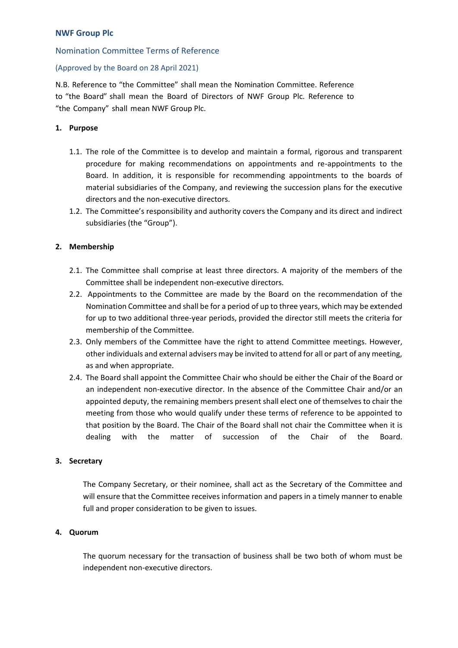## Nomination Committee Terms of Reference

## (Approved by the Board on 28 April 2021)

N.B. Reference to "the Committee" shall mean the Nomination Committee. Reference to "the Board" shall mean the Board of Directors of NWF Group Plc. Reference to "the Company" shall mean NWF Group Plc.

### **1. Purpose**

- 1.1. The role of the Committee is to develop and maintain a formal, rigorous and transparent procedure for making recommendations on appointments and re-appointments to the Board. In addition, it is responsible for recommending appointments to the boards of material subsidiaries of the Company, and reviewing the succession plans for the executive directors and the non-executive directors.
- 1.2. The Committee's responsibility and authority covers the Company and its direct and indirect subsidiaries (the "Group").

## **2. Membership**

- 2.1. The Committee shall comprise at least three directors. A majority of the members of the Committee shall be independent non-executive directors.
- 2.2. Appointments to the Committee are made by the Board on the recommendation of the Nomination Committee and shall be for a period of up to three years, which may be extended for up to two additional three-year periods, provided the director still meets the criteria for membership of the Committee.
- 2.3. Only members of the Committee have the right to attend Committee meetings. However, other individuals and external advisers may be invited to attend for all or part of any meeting, as and when appropriate.
- 2.4. The Board shall appoint the Committee Chair who should be either the Chair of the Board or an independent non-executive director. In the absence of the Committee Chair and/or an appointed deputy, the remaining members present shall elect one of themselves to chair the meeting from those who would qualify under these terms of reference to be appointed to that position by the Board. The Chair of the Board shall not chair the Committee when it is dealing with the matter of succession of the Chair of the Board.

### **3. Secretary**

The Company Secretary, or their nominee, shall act as the Secretary of the Committee and will ensure that the Committee receives information and papers in a timely manner to enable full and proper consideration to be given to issues.

### **4. Quorum**

The quorum necessary for the transaction of business shall be two both of whom must be independent non-executive directors.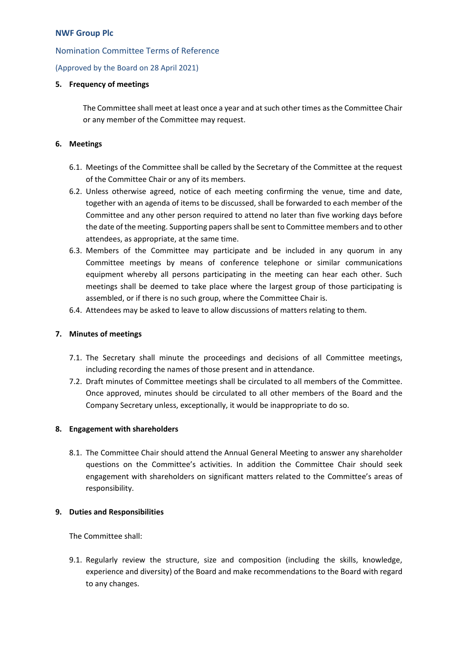## Nomination Committee Terms of Reference

(Approved by the Board on 28 April 2021)

## **5. Frequency of meetings**

The Committee shall meet at least once a year and at such other times as the Committee Chair or any member of the Committee may request.

## **6. Meetings**

- 6.1. Meetings of the Committee shall be called by the Secretary of the Committee at the request of the Committee Chair or any of its members.
- 6.2. Unless otherwise agreed, notice of each meeting confirming the venue, time and date, together with an agenda of items to be discussed, shall be forwarded to each member of the Committee and any other person required to attend no later than five working days before the date of the meeting. Supporting papers shall be sent to Committee members and to other attendees, as appropriate, at the same time.
- 6.3. Members of the Committee may participate and be included in any quorum in any Committee meetings by means of conference telephone or similar communications equipment whereby all persons participating in the meeting can hear each other. Such meetings shall be deemed to take place where the largest group of those participating is assembled, or if there is no such group, where the Committee Chair is.
- 6.4. Attendees may be asked to leave to allow discussions of matters relating to them.

# **7. Minutes of meetings**

- 7.1. The Secretary shall minute the proceedings and decisions of all Committee meetings, including recording the names of those present and in attendance.
- 7.2. Draft minutes of Committee meetings shall be circulated to all members of the Committee. Once approved, minutes should be circulated to all other members of the Board and the Company Secretary unless, exceptionally, it would be inappropriate to do so.

### **8. Engagement with shareholders**

8.1. The Committee Chair should attend the Annual General Meeting to answer any shareholder questions on the Committee's activities. In addition the Committee Chair should seek engagement with shareholders on significant matters related to the Committee's areas of responsibility.

### **9. Duties and Responsibilities**

The Committee shall:

9.1. Regularly review the structure, size and composition (including the skills, knowledge, experience and diversity) of the Board and make recommendations to the Board with regard to any changes.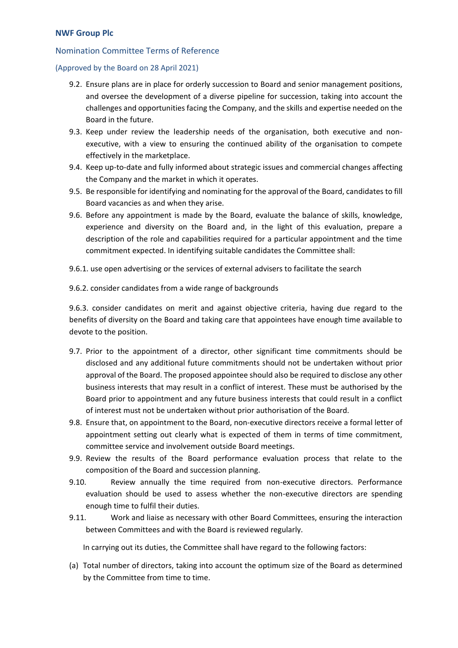## Nomination Committee Terms of Reference

### (Approved by the Board on 28 April 2021)

- 9.2. Ensure plans are in place for orderly succession to Board and senior management positions, and oversee the development of a diverse pipeline for succession, taking into account the challenges and opportunities facing the Company, and the skills and expertise needed on the Board in the future.
- 9.3. Keep under review the leadership needs of the organisation, both executive and nonexecutive, with a view to ensuring the continued ability of the organisation to compete effectively in the marketplace.
- 9.4. Keep up-to-date and fully informed about strategic issues and commercial changes affecting the Company and the market in which it operates.
- 9.5. Be responsible for identifying and nominating for the approval of the Board, candidates to fill Board vacancies as and when they arise.
- 9.6. Before any appointment is made by the Board, evaluate the balance of skills, knowledge, experience and diversity on the Board and, in the light of this evaluation, prepare a description of the role and capabilities required for a particular appointment and the time commitment expected. In identifying suitable candidates the Committee shall:
- 9.6.1. use open advertising or the services of external advisers to facilitate the search
- 9.6.2. consider candidates from a wide range of backgrounds

9.6.3. consider candidates on merit and against objective criteria, having due regard to the benefits of diversity on the Board and taking care that appointees have enough time available to devote to the position.

- 9.7. Prior to the appointment of a director, other significant time commitments should be disclosed and any additional future commitments should not be undertaken without prior approval of the Board. The proposed appointee should also be required to disclose any other business interests that may result in a conflict of interest. These must be authorised by the Board prior to appointment and any future business interests that could result in a conflict of interest must not be undertaken without prior authorisation of the Board.
- 9.8. Ensure that, on appointment to the Board, non-executive directors receive a formal letter of appointment setting out clearly what is expected of them in terms of time commitment, committee service and involvement outside Board meetings.
- 9.9. Review the results of the Board performance evaluation process that relate to the composition of the Board and succession planning.
- 9.10. Review annually the time required from non-executive directors. Performance evaluation should be used to assess whether the non-executive directors are spending enough time to fulfil their duties.
- 9.11. Work and liaise as necessary with other Board Committees, ensuring the interaction between Committees and with the Board is reviewed regularly.

In carrying out its duties, the Committee shall have regard to the following factors:

(a) Total number of directors, taking into account the optimum size of the Board as determined by the Committee from time to time.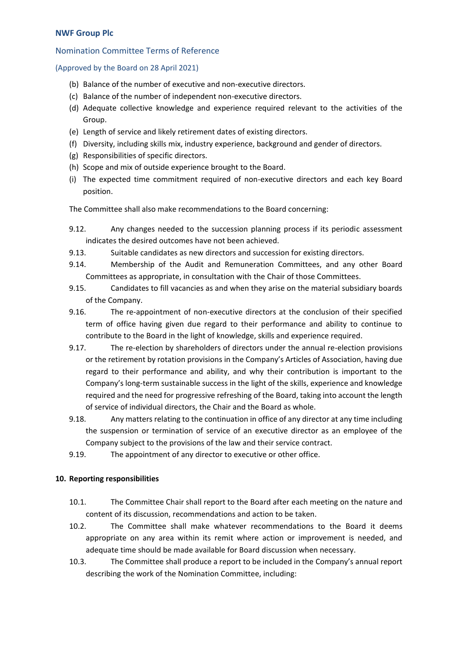## Nomination Committee Terms of Reference

## (Approved by the Board on 28 April 2021)

- (b) Balance of the number of executive and non-executive directors.
- (c) Balance of the number of independent non-executive directors.
- (d) Adequate collective knowledge and experience required relevant to the activities of the Group.
- (e) Length of service and likely retirement dates of existing directors.
- (f) Diversity, including skills mix, industry experience, background and gender of directors.
- (g) Responsibilities of specific directors.
- (h) Scope and mix of outside experience brought to the Board.
- (i) The expected time commitment required of non-executive directors and each key Board position.

The Committee shall also make recommendations to the Board concerning:

- 9.12. Any changes needed to the succession planning process if its periodic assessment indicates the desired outcomes have not been achieved.
- 9.13. Suitable candidates as new directors and succession for existing directors.
- 9.14. Membership of the Audit and Remuneration Committees, and any other Board Committees as appropriate, in consultation with the Chair of those Committees.
- 9.15. Candidates to fill vacancies as and when they arise on the material subsidiary boards of the Company.
- 9.16. The re-appointment of non-executive directors at the conclusion of their specified term of office having given due regard to their performance and ability to continue to contribute to the Board in the light of knowledge, skills and experience required.
- 9.17. The re-election by shareholders of directors under the annual re-election provisions or the retirement by rotation provisions in the Company's Articles of Association, having due regard to their performance and ability, and why their contribution is important to the Company's long-term sustainable success in the light of the skills, experience and knowledge required and the need for progressive refreshing of the Board, taking into account the length of service of individual directors, the Chair and the Board as whole.
- 9.18. Any matters relating to the continuation in office of any director at any time including the suspension or termination of service of an executive director as an employee of the Company subject to the provisions of the law and their service contract.
- 9.19. The appointment of any director to executive or other office.

### **10. Reporting responsibilities**

- 10.1. The Committee Chair shall report to the Board after each meeting on the nature and content of its discussion, recommendations and action to be taken.
- 10.2. The Committee shall make whatever recommendations to the Board it deems appropriate on any area within its remit where action or improvement is needed, and adequate time should be made available for Board discussion when necessary.
- 10.3. The Committee shall produce a report to be included in the Company's annual report describing the work of the Nomination Committee, including: